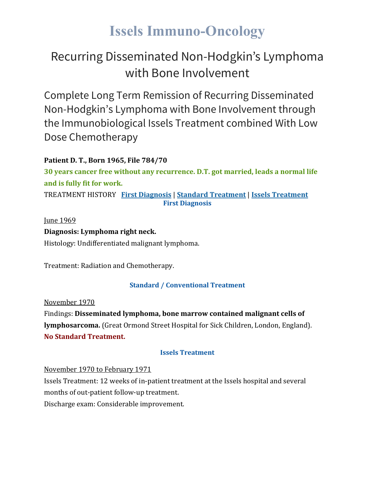# **Issels Immuno-Oncology**

# Recurring Disseminated Non-Hodgkin's Lymphoma with Bone Involvement

Complete Long Term Remission of Recurring Disseminated Non-Hodgkin's Lymphoma with Bone Involvement through the Immunobiological Issels Treatment combined With Low Dose Chemotherapy

## **Patient D. T., Born 1965, File 784/70**

**30 years cancer free without any recurrence. D.T. got married, leads a normal life and is fully fit for work.** TREATMENT HISTORY **First [Diagnosis](https://issels.com/cancer-cases/lymphoma-2-recurring-disseminated-non-hodgkins-lymphoma-with-bone-invovlement/#First)** | **Standard [Treatment](https://issels.com/cancer-cases/lymphoma-2-recurring-disseminated-non-hodgkins-lymphoma-with-bone-invovlement/#Standard)** | **Issels [Treatment](https://issels.com/cancer-cases/lymphoma-2-recurring-disseminated-non-hodgkins-lymphoma-with-bone-invovlement/#Issels)**

**First Diagnosis**

**Iune 1969 Diagnosis: Lymphoma right neck.** Histology: Undifferentiated malignant lymphoma.

Treatment: Radiation and Chemotherapy.

## **Standard / Conventional Treatment**

November 1970 Findings: **Disseminated lymphoma, bone marrow contained malignant cells of lymphosarcoma.** (Great Ormond Street Hospital for Sick Children, London, England). **No Standard Treatment.**

## **Issels Treatment**

November 1970 to February 1971

Issels Treatment: 12 weeks of in-patient treatment at the Issels hospital and several months of out-patient follow-up treatment.

Discharge exam: Considerable improvement.